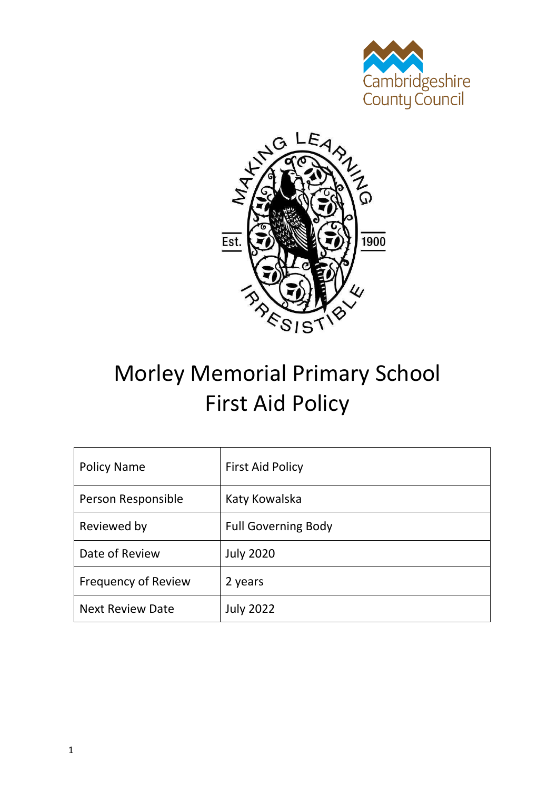



# Morley Memorial Primary School First Aid Policy

| <b>Policy Name</b>         | <b>First Aid Policy</b>    |
|----------------------------|----------------------------|
| Person Responsible         | Katy Kowalska              |
| Reviewed by                | <b>Full Governing Body</b> |
| Date of Review             | <b>July 2020</b>           |
| <b>Frequency of Review</b> | 2 years                    |
| <b>Next Review Date</b>    | <b>July 2022</b>           |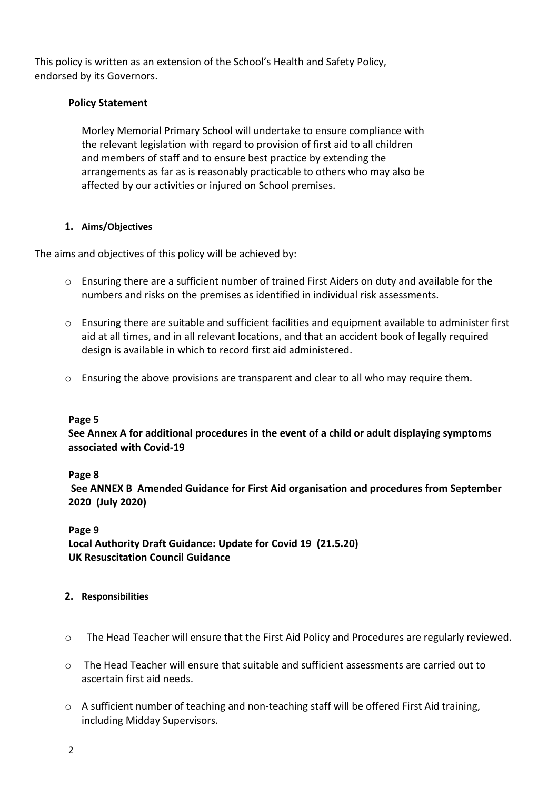This policy is written as an extension of the School's Health and Safety Policy, endorsed by its Governors.

## **Policy Statement**

Morley Memorial Primary School will undertake to ensure compliance with the relevant legislation with regard to provision of first aid to all children and members of staff and to ensure best practice by extending the arrangements as far as is reasonably practicable to others who may also be affected by our activities or injured on School premises.

## **1. Aims/Objectives**

The aims and objectives of this policy will be achieved by:

- o Ensuring there are a sufficient number of trained First Aiders on duty and available for the numbers and risks on the premises as identified in individual risk assessments.
- o Ensuring there are suitable and sufficient facilities and equipment available to administer first aid at all times, and in all relevant locations, and that an accident book of legally required design is available in which to record first aid administered.
- $\circ$  Ensuring the above provisions are transparent and clear to all who may require them.

#### **Page 5**

**See Annex A for additional procedures in the event of a child or adult displaying symptoms associated with Covid-19** 

#### **Page 8**

**See ANNEX B Amended Guidance for First Aid organisation and procedures from September 2020 (July 2020)**

#### **Page 9**

**Local Authority Draft Guidance: Update for Covid 19 (21.5.20) UK Resuscitation Council Guidance**

# **2. Responsibilities**

- o The Head Teacher will ensure that the First Aid Policy and Procedures are regularly reviewed.
- o The Head Teacher will ensure that suitable and sufficient assessments are carried out to ascertain first aid needs.
- $\circ$  A sufficient number of teaching and non-teaching staff will be offered First Aid training, including Midday Supervisors.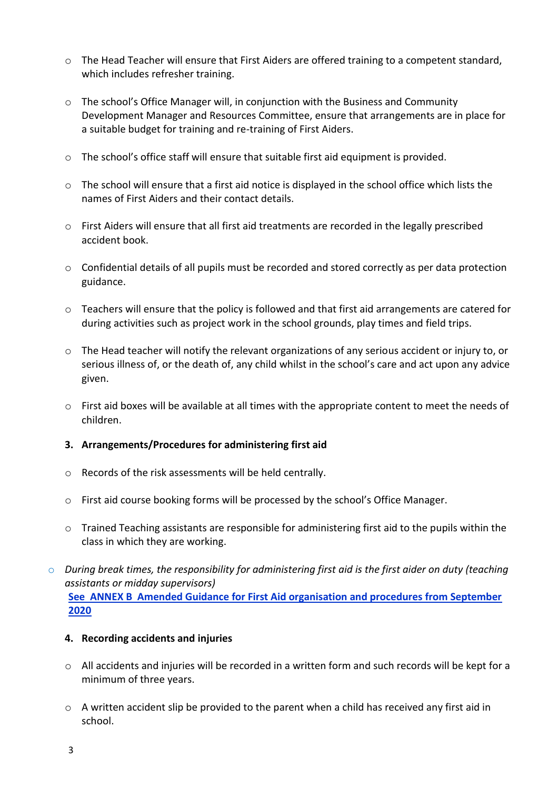- $\circ$  The Head Teacher will ensure that First Aiders are offered training to a competent standard, which includes refresher training.
- $\circ$  The school's Office Manager will, in conjunction with the Business and Community Development Manager and Resources Committee, ensure that arrangements are in place for a suitable budget for training and re-training of First Aiders.
- $\circ$  The school's office staff will ensure that suitable first aid equipment is provided.
- $\circ$  The school will ensure that a first aid notice is displayed in the school office which lists the names of First Aiders and their contact details.
- o First Aiders will ensure that all first aid treatments are recorded in the legally prescribed accident book.
- $\circ$  Confidential details of all pupils must be recorded and stored correctly as per data protection guidance.
- $\circ$  Teachers will ensure that the policy is followed and that first aid arrangements are catered for during activities such as project work in the school grounds, play times and field trips.
- o The Head teacher will notify the relevant organizations of any serious accident or injury to, or serious illness of, or the death of, any child whilst in the school's care and act upon any advice given.
- $\circ$  First aid boxes will be available at all times with the appropriate content to meet the needs of children.

#### **3. Arrangements/Procedures for administering first aid**

- o Records of the risk assessments will be held centrally.
- o First aid course booking forms will be processed by the school's Office Manager.
- $\circ$  Trained Teaching assistants are responsible for administering first aid to the pupils within the class in which they are working.
- o *During break times, the responsibility for administering first aid is the first aider on duty (teaching assistants or midday supervisors)*  **See ANNEX B Amended Guidance for First Aid organisation and procedures from September**

#### **4. Recording accidents and injuries**

- o All accidents and injuries will be recorded in a written form and such records will be kept for a minimum of three years.
- $\circ$  A written accident slip be provided to the parent when a child has received any first aid in school.

**2020**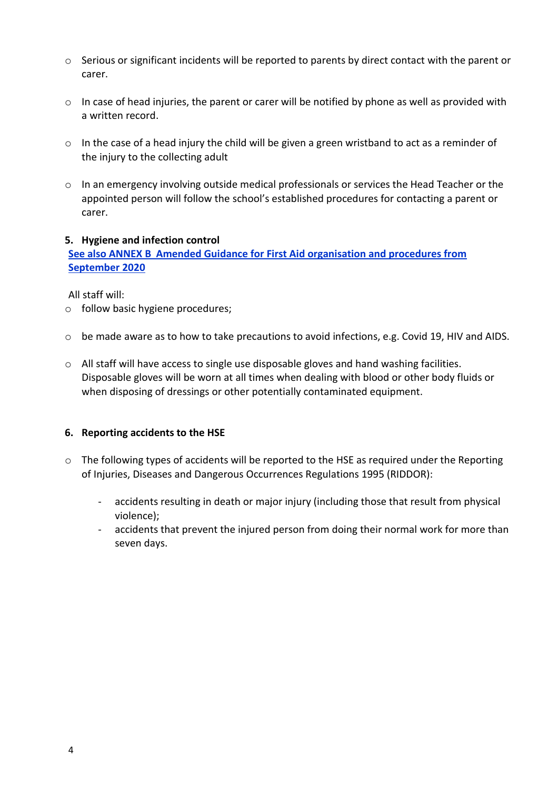- $\circ$  Serious or significant incidents will be reported to parents by direct contact with the parent or carer.
- o In case of head injuries, the parent or carer will be notified by phone as well as provided with a written record.
- o In the case of a head injury the child will be given a green wristband to act as a reminder of the injury to the collecting adult
- o In an emergency involving outside medical professionals or services the Head Teacher or the appointed person will follow the school's established procedures for contacting a parent or carer.

## **5. Hygiene and infection control**

**See also ANNEX B Amended Guidance for First Aid organisation and procedures from September 2020**

All staff will:

- o follow basic hygiene procedures;
- $\circ$  be made aware as to how to take precautions to avoid infections, e.g. Covid 19, HIV and AIDS.
- o All staff will have access to single use disposable gloves and hand washing facilities. Disposable gloves will be worn at all times when dealing with blood or other body fluids or when disposing of dressings or other potentially contaminated equipment.

# **6. Reporting accidents to the HSE**

- $\circ$  The following types of accidents will be reported to the HSE as required under the Reporting of Injuries, Diseases and Dangerous Occurrences Regulations 1995 (RIDDOR):
	- accidents resulting in death or major injury (including those that result from physical violence);
	- accidents that prevent the injured person from doing their normal work for more than seven days.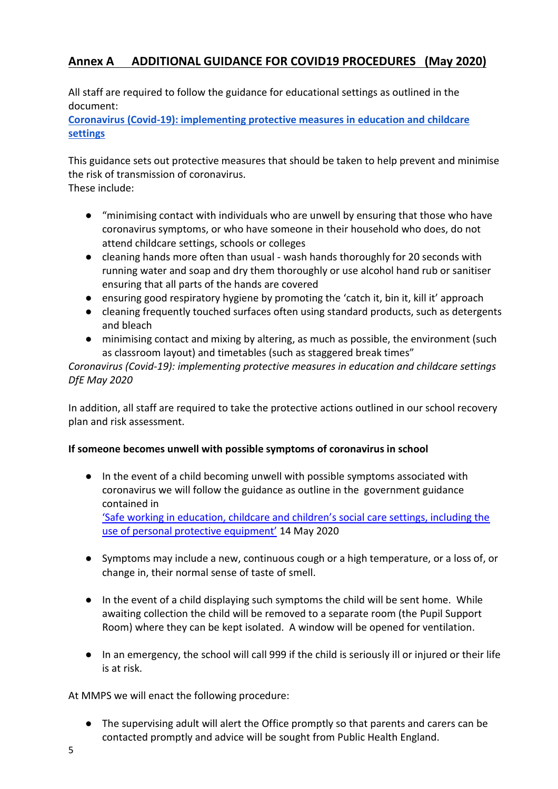# **Annex A ADDITIONAL GUIDANCE FOR COVID19 PROCEDURES (May 2020)**

All staff are required to follow the guidance for educational settings as outlined in the document:

**[Coronavirus \(Covid-19\): implementing protective measures in education and childcare](https://www.gov.uk/government/publications/coronavirus-covid-19-implementing-protective-measures-in-education-and-childcare-settings/coronavirus-covid-19-implementing-protective-measures-in-education-and-childcare-settings#personal-protective-equipment-ppe-including-face-coverings-and-face-masks)  [settings](https://www.gov.uk/government/publications/coronavirus-covid-19-implementing-protective-measures-in-education-and-childcare-settings/coronavirus-covid-19-implementing-protective-measures-in-education-and-childcare-settings#personal-protective-equipment-ppe-including-face-coverings-and-face-masks)**

This guidance sets out protective measures that should be taken to help prevent and minimise the risk of transmission of coronavirus. These include:

- "minimising contact with individuals who are unwell by ensuring that those who have coronavirus symptoms, or who have someone in their household who does, do not attend childcare settings, schools or colleges
- cleaning hands more often than usual wash hands thoroughly for 20 seconds with running water and soap and dry them thoroughly or use alcohol hand rub or sanitiser ensuring that all parts of the hands are covered
- ensuring good respiratory hygiene by promoting the 'catch it, bin it, kill it' approach
- cleaning frequently touched surfaces often using standard products, such as detergents and bleach
- minimising contact and mixing by altering, as much as possible, the environment (such as classroom layout) and timetables (such as staggered break times"

*Coronavirus (Covid-19): implementing protective measures in education and childcare settings DfE May 2020*

In addition, all staff are required to take the protective actions outlined in our school recovery plan and risk assessment.

# **If someone becomes unwell with possible symptoms of coronavirus in school**

- In the event of a child becoming unwell with possible symptoms associated with coronavirus we will follow the guidance as outline in the government guidance contained in ['Safe working in education, childcare and children's social care settings, including the](https://www.gov.uk/government/publications/safe-working-in-education-childcare-and-childrens-social-care/safe-working-in-education-childcare-and-childrens-social-care-settings-including-the-use-of-personal-protective-equipment-ppe)  [use of personal protective equipment'](https://www.gov.uk/government/publications/safe-working-in-education-childcare-and-childrens-social-care/safe-working-in-education-childcare-and-childrens-social-care-settings-including-the-use-of-personal-protective-equipment-ppe) 14 May 2020
- Symptoms may include a new, continuous cough or a high temperature, or a loss of, or change in, their normal sense of taste of smell.
- In the event of a child displaying such symptoms the child will be sent home. While awaiting collection the child will be removed to a separate room (the Pupil Support Room) where they can be kept isolated. A window will be opened for ventilation.
- In an emergency, the school will call 999 if the child is seriously ill or injured or their life is at risk.

At MMPS we will enact the following procedure:

● The supervising adult will alert the Office promptly so that parents and carers can be contacted promptly and advice will be sought from Public Health England.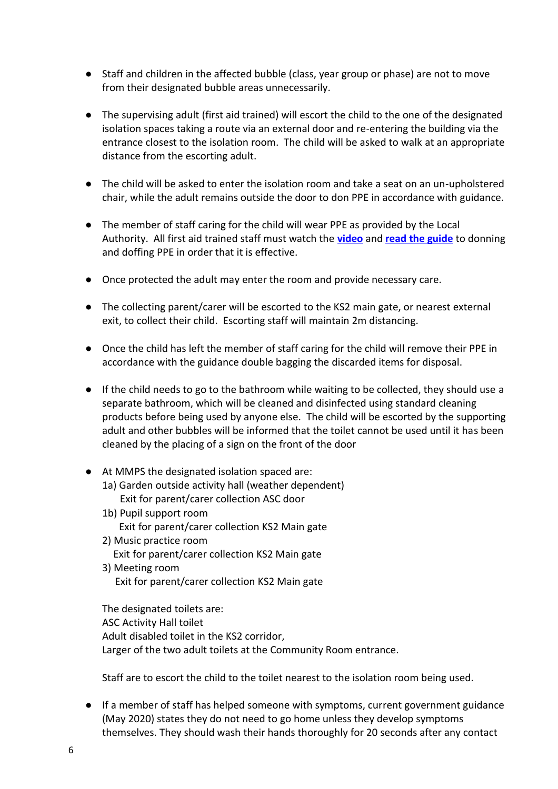- Staff and children in the affected bubble (class, year group or phase) are not to move from their designated bubble areas unnecessarily.
- The supervising adult (first aid trained) will escort the child to the one of the designated isolation spaces taking a route via an external door and re-entering the building via the entrance closest to the isolation room. The child will be asked to walk at an appropriate distance from the escorting adult.
- The child will be asked to enter the isolation room and take a seat on an un-upholstered chair, while the adult remains outside the door to don PPE in accordance with guidance.
- The member of staff caring for the child will wear PPE as provided by the Local Authority. All first aid trained staff must watch the **[video](https://www.youtube.com/watch?v=-GncQ_ed-9w)** and **[read the guide](https://assets.publishing.service.gov.uk/government/uploads/system/uploads/attachment_data/file/877658/Quick_guide_to_donning_doffing_standard_PPE_health_and_social_care_poster__.pdf)** to donning and doffing PPE in order that it is effective.
- Once protected the adult may enter the room and provide necessary care.
- The collecting parent/carer will be escorted to the KS2 main gate, or nearest external exit, to collect their child. Escorting staff will maintain 2m distancing.
- Once the child has left the member of staff caring for the child will remove their PPE in accordance with the guidance double bagging the discarded items for disposal.
- If the child needs to go to the bathroom while waiting to be collected, they should use a separate bathroom, which will be cleaned and disinfected using standard cleaning products before being used by anyone else. The child will be escorted by the supporting adult and other bubbles will be informed that the toilet cannot be used until it has been cleaned by the placing of a sign on the front of the door
- At MMPS the designated isolation spaced are:
	- 1a) Garden outside activity hall (weather dependent) Exit for parent/carer collection ASC door
	- 1b) Pupil support room Exit for parent/carer collection KS2 Main gate
	- 2) Music practice room Exit for parent/carer collection KS2 Main gate
	- 3) Meeting room Exit for parent/carer collection KS2 Main gate

The designated toilets are: ASC Activity Hall toilet Adult disabled toilet in the KS2 corridor, Larger of the two adult toilets at the Community Room entrance.

Staff are to escort the child to the toilet nearest to the isolation room being used.

● If a member of staff has helped someone with symptoms, current government guidance (May 2020) states they do not need to go home unless they develop symptoms themselves. They should wash their hands thoroughly for 20 seconds after any contact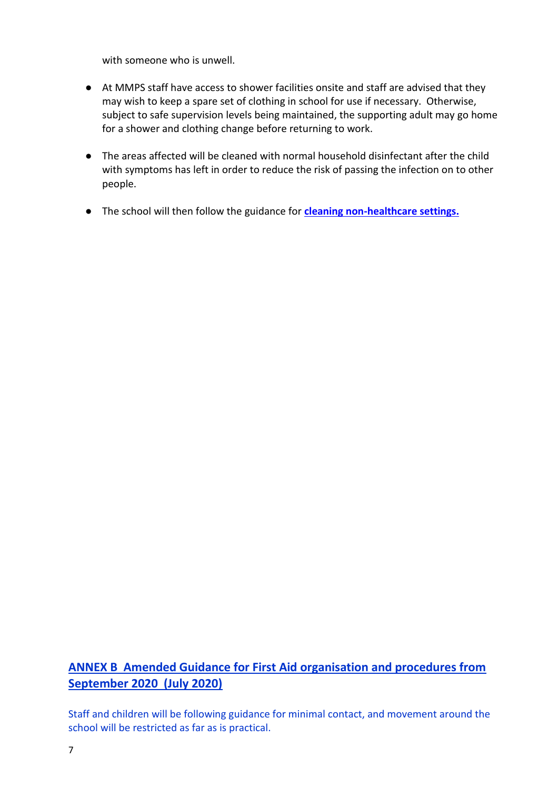with someone who is unwell.

- At MMPS staff have access to shower facilities onsite and staff are advised that they may wish to keep a spare set of clothing in school for use if necessary. Otherwise, subject to safe supervision levels being maintained, the supporting adult may go home for a shower and clothing change before returning to work.
- The areas affected will be cleaned with normal household disinfectant after the child with symptoms has left in order to reduce the risk of passing the infection on to other people.
- The school will then follow the guidance for **[cleaning non-healthcare settings.](https://www.gov.uk/government/publications/covid-19-decontamination-in-non-healthcare-settings)**

# **ANNEX B Amended Guidance for First Aid organisation and procedures from September 2020 (July 2020)**

Staff and children will be following guidance for minimal contact, and movement around the school will be restricted as far as is practical.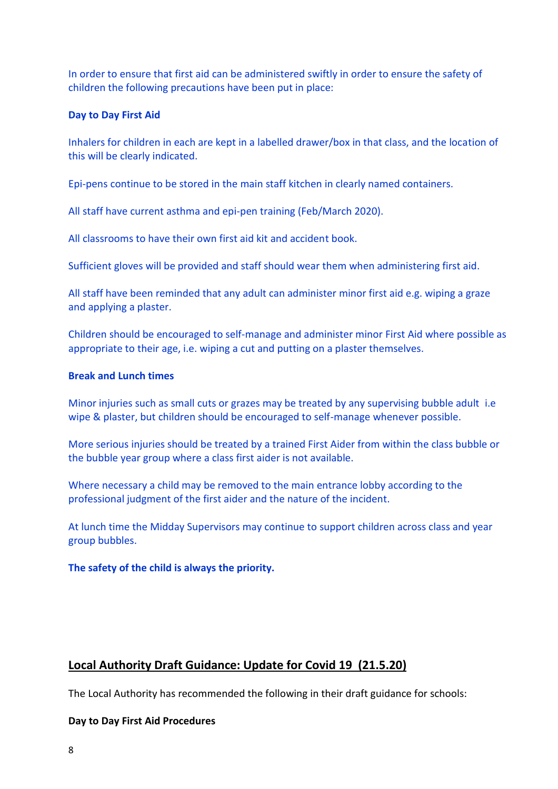In order to ensure that first aid can be administered swiftly in order to ensure the safety of children the following precautions have been put in place:

#### **Day to Day First Aid**

Inhalers for children in each are kept in a labelled drawer/box in that class, and the location of this will be clearly indicated.

Epi-pens continue to be stored in the main staff kitchen in clearly named containers.

All staff have current asthma and epi-pen training (Feb/March 2020).

All classrooms to have their own first aid kit and accident book.

Sufficient gloves will be provided and staff should wear them when administering first aid.

All staff have been reminded that any adult can administer minor first aid e.g. wiping a graze and applying a plaster.

Children should be encouraged to self-manage and administer minor First Aid where possible as appropriate to their age, i.e. wiping a cut and putting on a plaster themselves.

## **Break and Lunch times**

Minor injuries such as small cuts or grazes may be treated by any supervising bubble adult i.e wipe & plaster, but children should be encouraged to self-manage whenever possible.

More serious injuries should be treated by a trained First Aider from within the class bubble or the bubble year group where a class first aider is not available.

Where necessary a child may be removed to the main entrance lobby according to the professional judgment of the first aider and the nature of the incident.

At lunch time the Midday Supervisors may continue to support children across class and year group bubbles.

**The safety of the child is always the priority.**

# **Local Authority Draft Guidance: Update for Covid 19 (21.5.20)**

The Local Authority has recommended the following in their draft guidance for schools:

# **Day to Day First Aid Procedures**